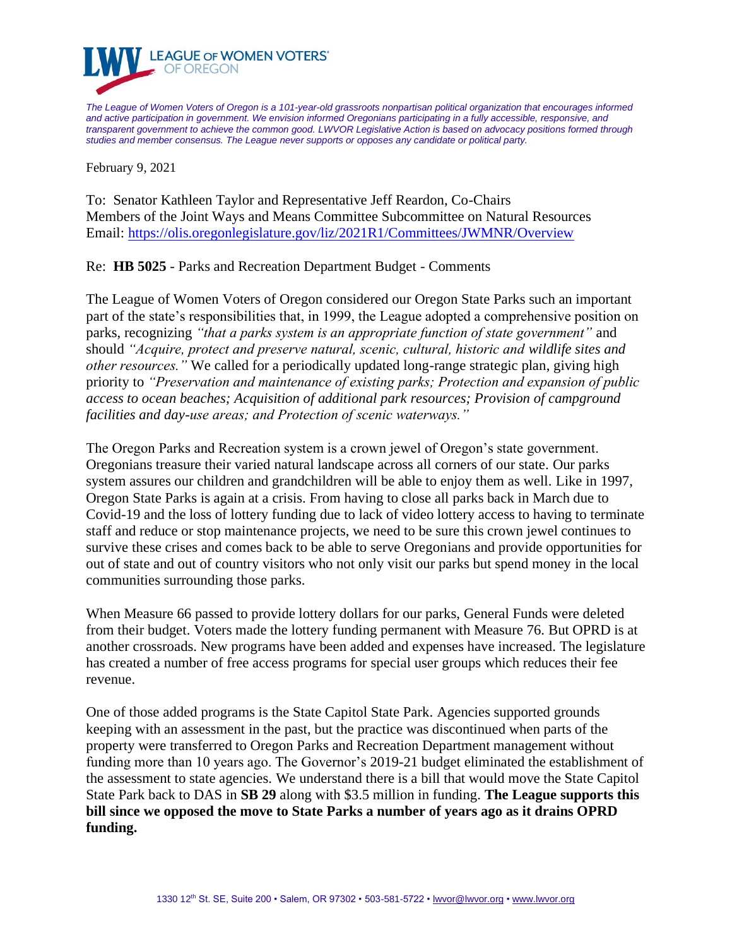

*The League of Women Voters of Oregon is a 101-year-old grassroots nonpartisan political organization that encourages informed and active participation in government. We envision informed Oregonians participating in a fully accessible, responsive, and transparent government to achieve the common good. LWVOR Legislative Action is based on advocacy positions formed through studies and member consensus. The League never supports or opposes any candidate or political party.*

February 9, 2021

To: Senator Kathleen Taylor and Representative Jeff Reardon, Co-Chairs Members of the Joint Ways and Means Committee Subcommittee on Natural Resources Email:<https://olis.oregonlegislature.gov/liz/2021R1/Committees/JWMNR/Overview>

Re: **HB 5025** - Parks and Recreation Department Budget - Comments

The League of Women Voters of Oregon considered our Oregon State Parks such an important part of the state's responsibilities that, in 1999, the League adopted a comprehensive position on parks, recognizing *"that a parks system is an appropriate function of state government"* and should *"Acquire, protect and preserve natural, scenic, cultural, historic and wildlife sites and other resources."* We called for a periodically updated long-range strategic plan, giving high priority to *"Preservation and maintenance of existing parks; Protection and expansion of public access to ocean beaches; Acquisition of additional park resources; Provision of campground facilities and day-use areas; and Protection of scenic waterways."*

The Oregon Parks and Recreation system is a crown jewel of Oregon's state government. Oregonians treasure their varied natural landscape across all corners of our state. Our parks system assures our children and grandchildren will be able to enjoy them as well. Like in 1997, Oregon State Parks is again at a crisis. From having to close all parks back in March due to Covid-19 and the loss of lottery funding due to lack of video lottery access to having to terminate staff and reduce or stop maintenance projects, we need to be sure this crown jewel continues to survive these crises and comes back to be able to serve Oregonians and provide opportunities for out of state and out of country visitors who not only visit our parks but spend money in the local communities surrounding those parks.

When Measure 66 passed to provide lottery dollars for our parks, General Funds were deleted from their budget. Voters made the lottery funding permanent with Measure 76. But OPRD is at another crossroads. New programs have been added and expenses have increased. The legislature has created a number of free access programs for special user groups which reduces their fee revenue.

One of those added programs is the State Capitol State Park. Agencies supported grounds keeping with an assessment in the past, but the practice was discontinued when parts of the property were transferred to Oregon Parks and Recreation Department management without funding more than 10 years ago. The Governor's 2019-21 budget eliminated the establishment of the assessment to state agencies. We understand there is a bill that would move the State Capitol State Park back to DAS in **SB 29** along with \$3.5 million in funding. **The League supports this bill since we opposed the move to State Parks a number of years ago as it drains OPRD funding.**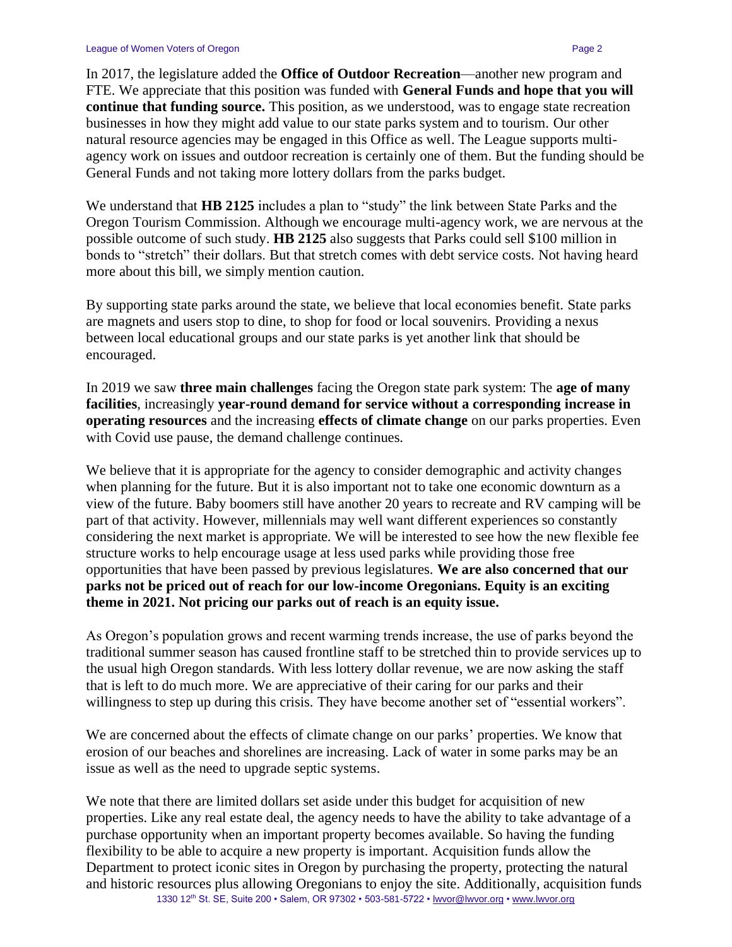In 2017, the legislature added the **Office of Outdoor Recreation**—another new program and FTE. We appreciate that this position was funded with **General Funds and hope that you will continue that funding source.** This position, as we understood, was to engage state recreation businesses in how they might add value to our state parks system and to tourism. Our other natural resource agencies may be engaged in this Office as well. The League supports multiagency work on issues and outdoor recreation is certainly one of them. But the funding should be General Funds and not taking more lottery dollars from the parks budget.

We understand that **HB 2125** includes a plan to "study" the link between State Parks and the Oregon Tourism Commission. Although we encourage multi-agency work, we are nervous at the possible outcome of such study. **HB 2125** also suggests that Parks could sell \$100 million in bonds to "stretch" their dollars. But that stretch comes with debt service costs. Not having heard more about this bill, we simply mention caution.

By supporting state parks around the state, we believe that local economies benefit. State parks are magnets and users stop to dine, to shop for food or local souvenirs. Providing a nexus between local educational groups and our state parks is yet another link that should be encouraged.

In 2019 we saw **three main challenges** facing the Oregon state park system: The **age of many facilities**, increasingly **year-round demand for service without a corresponding increase in operating resources** and the increasing **effects of climate change** on our parks properties. Even with Covid use pause, the demand challenge continues.

We believe that it is appropriate for the agency to consider demographic and activity changes when planning for the future. But it is also important not to take one economic downturn as a view of the future. Baby boomers still have another 20 years to recreate and RV camping will be part of that activity. However, millennials may well want different experiences so constantly considering the next market is appropriate. We will be interested to see how the new flexible fee structure works to help encourage usage at less used parks while providing those free opportunities that have been passed by previous legislatures. **We are also concerned that our parks not be priced out of reach for our low-income Oregonians. Equity is an exciting theme in 2021. Not pricing our parks out of reach is an equity issue.** 

As Oregon's population grows and recent warming trends increase, the use of parks beyond the traditional summer season has caused frontline staff to be stretched thin to provide services up to the usual high Oregon standards. With less lottery dollar revenue, we are now asking the staff that is left to do much more. We are appreciative of their caring for our parks and their willingness to step up during this crisis. They have become another set of "essential workers".

We are concerned about the effects of climate change on our parks' properties. We know that erosion of our beaches and shorelines are increasing. Lack of water in some parks may be an issue as well as the need to upgrade septic systems.

1330 12<sup>th</sup> St. SE, Suite 200 • Salem, OR 97302 • 503-581-5722 • [lwvor@lwvor.org](mailto:lwvor@lwvor.org) • [www.lwvor.org](http://www.lwvor.org/) We note that there are limited dollars set aside under this budget for acquisition of new properties. Like any real estate deal, the agency needs to have the ability to take advantage of a purchase opportunity when an important property becomes available. So having the funding flexibility to be able to acquire a new property is important. Acquisition funds allow the Department to protect iconic sites in Oregon by purchasing the property, protecting the natural and historic resources plus allowing Oregonians to enjoy the site. Additionally, acquisition funds